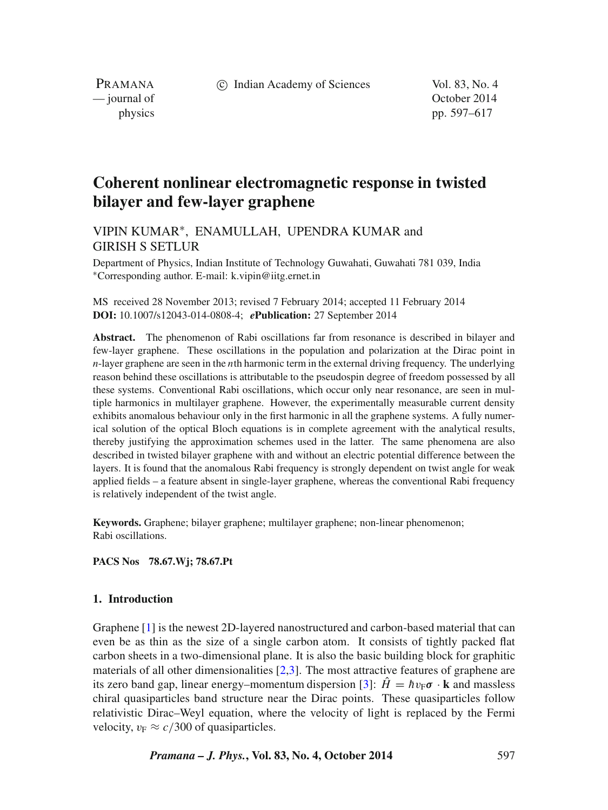c Indian Academy of Sciences Vol. 83, No. 4

PRAMANA<br>
— journal of

October 2014 physics pp. 597–617

# **Coherent nonlinear electromagnetic response in twisted bilayer and few-layer graphene**

# VIPIN KUMAR∗, ENAMULLAH, UPENDRA KUMAR and GIRISH S SETLUR

Department of Physics, Indian Institute of Technology Guwahati, Guwahati 781 039, India ∗Corresponding author. E-mail: k.vipin@iitg.ernet.in

MS received 28 November 2013; revised 7 February 2014; accepted 11 February 2014 **DOI:** 10.1007/s12043-014-0808-4; *e***Publication:** 27 September 2014

**Abstract.** The phenomenon of Rabi oscillations far from resonance is described in bilayer and few-layer graphene. These oscillations in the population and polarization at the Dirac point in *n*-layer graphene are seen in the *n*th harmonic term in the external driving frequency. The underlying reason behind these oscillations is attributable to the pseudospin degree of freedom possessed by all these systems. Conventional Rabi oscillations, which occur only near resonance, are seen in multiple harmonics in multilayer graphene. However, the experimentally measurable current density exhibits anomalous behaviour only in the first harmonic in all the graphene systems. A fully numerical solution of the optical Bloch equations is in complete agreement with the analytical results, thereby justifying the approximation schemes used in the latter. The same phenomena are also described in twisted bilayer graphene with and without an electric potential difference between the layers. It is found that the anomalous Rabi frequency is strongly dependent on twist angle for weak applied fields – a feature absent in single-layer graphene, whereas the conventional Rabi frequency is relatively independent of the twist angle.

**Keywords.** Graphene; bilayer graphene; multilayer graphene; non-linear phenomenon; Rabi oscillations.

**PACS Nos 78.67.Wj; 78.67.Pt**

## <span id="page-0-0"></span>**1. Introduction**

Graphene [\[1\]](#page-19-0) is the newest 2D-layered nanostructured and carbon-based material that can even be as thin as the size of a single carbon atom. It consists of tightly packed flat carbon sheets in a two-dimensional plane. It is also the basic building block for graphitic materials of all other dimensionalities  $[2,3]$  $[2,3]$ . The most attractive features of graphene are its zero band gap, linear energy–momentum dispersion [\[3\]](#page-19-2):  $\hat{H} = \hbar v_F \sigma \cdot \mathbf{k}$  and massless chiral quasiparticles band structure near the Dirac points. These quasiparticles follow relativistic Dirac–Weyl equation, where the velocity of light is replaced by the Fermi velocity,  $v_F \approx c/300$  of quasiparticles.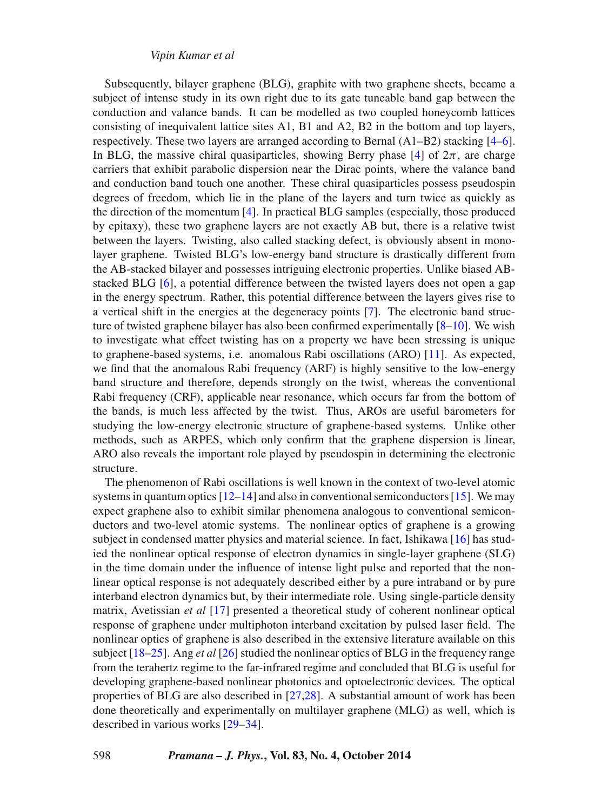Subsequently, bilayer graphene (BLG), graphite with two graphene sheets, became a subject of intense study in its own right due to its gate tuneable band gap between the conduction and valance bands. It can be modelled as two coupled honeycomb lattices consisting of inequivalent lattice sites A1, B1 and A2, B2 in the bottom and top layers, respectively. These two layers are arranged according to Bernal  $(A1-B2)$  stacking  $[4-6]$  $[4-6]$ . In BLG, the massive chiral quasiparticles, showing Berry phase  $[4]$  of  $2\pi$ , are charge carriers that exhibit parabolic dispersion near the Dirac points, where the valance band and conduction band touch one another. These chiral quasiparticles possess pseudospin degrees of freedom, which lie in the plane of the layers and turn twice as quickly as the direction of the momentum [\[4\]](#page-19-3). In practical BLG samples (especially, those produced by epitaxy), these two graphene layers are not exactly AB but, there is a relative twist between the layers. Twisting, also called stacking defect, is obviously absent in monolayer graphene. Twisted BLG's low-energy band structure is drastically different from the AB-stacked bilayer and possesses intriguing electronic properties. Unlike biased ABstacked BLG [\[6\]](#page-19-4), a potential difference between the twisted layers does not open a gap in the energy spectrum. Rather, this potential difference between the layers gives rise to a vertical shift in the energies at the degeneracy points [\[7\]](#page-19-5). The electronic band structure of twisted graphene bilayer has also been confirmed experimentally  $[8-10]$  $[8-10]$ . We wish to investigate what effect twisting has on a property we have been stressing is unique to graphene-based systems, i.e. anomalous Rabi oscillations (ARO) [\[11\]](#page-19-8). As expected, we find that the anomalous Rabi frequency (ARF) is highly sensitive to the low-energy band structure and therefore, depends strongly on the twist, whereas the conventional Rabi frequency (CRF), applicable near resonance, which occurs far from the bottom of the bands, is much less affected by the twist. Thus, AROs are useful barometers for studying the low-energy electronic structure of graphene-based systems. Unlike other methods, such as ARPES, which only confirm that the graphene dispersion is linear, ARO also reveals the important role played by pseudospin in determining the electronic structure.

The phenomenon of Rabi oscillations is well known in the context of two-level atomic systems in quantum optics  $[12-14]$  $[12-14]$  and also in conventional semiconductors  $[15]$ . We may expect graphene also to exhibit similar phenomena analogous to conventional semiconductors and two-level atomic systems. The nonlinear optics of graphene is a growing subject in condensed matter physics and material science. In fact, Ishikawa [\[16\]](#page-19-12) has studied the nonlinear optical response of electron dynamics in single-layer graphene (SLG) in the time domain under the influence of intense light pulse and reported that the nonlinear optical response is not adequately described either by a pure intraband or by pure interband electron dynamics but, by their intermediate role. Using single-particle density matrix, Avetissian *et al* [\[17\]](#page-19-13) presented a theoretical study of coherent nonlinear optical response of graphene under multiphoton interband excitation by pulsed laser field. The nonlinear optics of graphene is also described in the extensive literature available on this subject [\[18–](#page-19-14)[25\]](#page-20-0). Ang *et al* [\[26\]](#page-20-1) studied the nonlinear optics of BLG in the frequency range from the terahertz regime to the far-infrared regime and concluded that BLG is useful for developing graphene-based nonlinear photonics and optoelectronic devices. The optical properties of BLG are also described in [\[27,](#page-20-2)[28\]](#page-20-3). A substantial amount of work has been done theoretically and experimentally on multilayer graphene (MLG) as well, which is described in various works [\[29–](#page-20-4)[34\]](#page-20-5).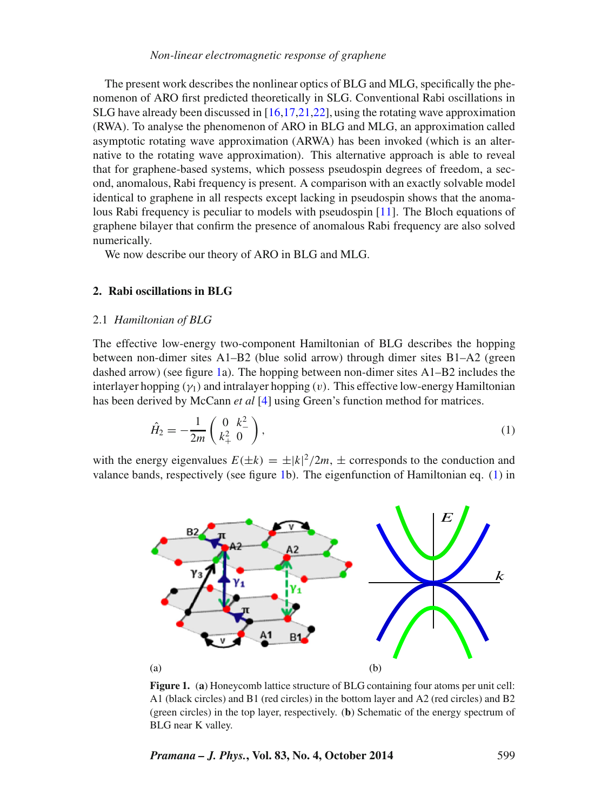The present work describes the nonlinear optics of BLG and MLG, specifically the phenomenon of ARO first predicted theoretically in SLG. Conventional Rabi oscillations in SLG have already been discussed in [\[16](#page-19-12)[,17](#page-19-13)[,21,](#page-20-6)[22\]](#page-20-7), using the rotating wave approximation (RWA). To analyse the phenomenon of ARO in BLG and MLG, an approximation called asymptotic rotating wave approximation (ARWA) has been invoked (which is an alternative to the rotating wave approximation). This alternative approach is able to reveal that for graphene-based systems, which possess pseudospin degrees of freedom, a second, anomalous, Rabi frequency is present. A comparison with an exactly solvable model identical to graphene in all respects except lacking in pseudospin shows that the anomalous Rabi frequency is peculiar to models with pseudospin [\[11\]](#page-19-8). The Bloch equations of graphene bilayer that confirm the presence of anomalous Rabi frequency are also solved numerically.

We now describe our theory of ARO in BLG and MLG.

## **2. Rabi oscillations in BLG**

#### 2.1 *Hamiltonian of BLG*

The effective low-energy two-component Hamiltonian of BLG describes the hopping between non-dimer sites A1–B2 (blue solid arrow) through dimer sites B1–A2 (green dashed arrow) (see figure [1a](#page-2-0)). The hopping between non-dimer sites  $A1-B2$  includes the interlayer hopping  $(\gamma_1)$  and intralayer hopping  $(v)$ . This effective low-energy Hamiltonian has been derived by McCann *et al* [\[4\]](#page-19-3) using Green's function method for matrices.

<span id="page-2-1"></span>
$$
\hat{H}_2 = -\frac{1}{2m} \begin{pmatrix} 0 & k_-^2 \\ k_+^2 & 0 \end{pmatrix},\tag{1}
$$

<span id="page-2-0"></span>with the energy eigenvalues  $E(\pm k) = \pm |k|^2 / 2m$ ,  $\pm$  corresponds to the conduction and valance bands, respectively (see figure [1b](#page-2-0)). The eigenfunction of Hamiltonian eq. [\(1\)](#page-2-1) in



**Figure 1.** (**a**) Honeycomb lattice structure of BLG containing four atoms per unit cell: A1 (black circles) and B1 (red circles) in the bottom layer and A2 (red circles) and B2 (green circles) in the top layer, respectively. (**b**) Schematic of the energy spectrum of BLG near K valley.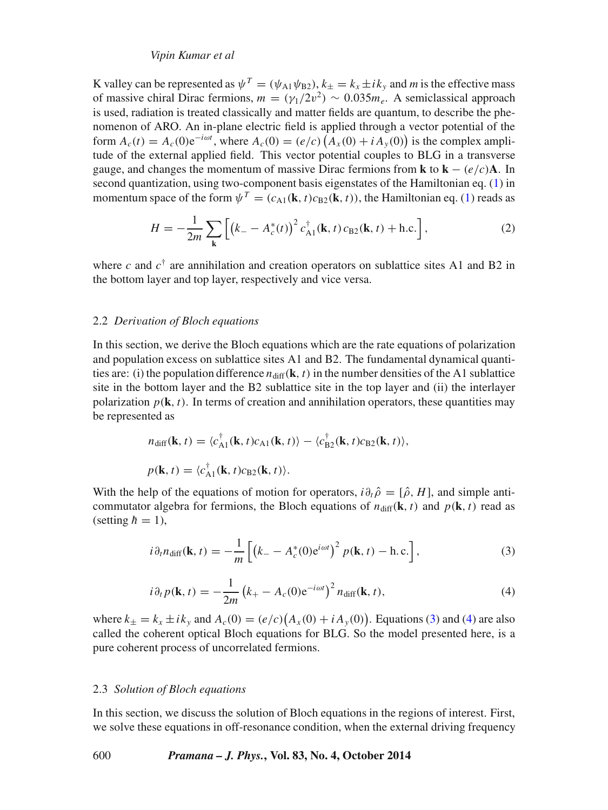K valley can be represented as  $\psi^T = (\psi_{A1} \psi_{B2}), k_+ = k_x \pm i k_y$  and *m* is the effective mass of massive chiral Dirac fermions,  $m = (\gamma_1/2v^2) \sim 0.035 m_e$ . A semiclassical approach is used, radiation is treated classically and matter fields are quantum, to describe the phenomenon of ARO. An in-plane electric field is applied through a vector potential of the form  $A_c(t) = A_c(0)e^{-i\omega t}$ , where  $A_c(0) = (e/c)\left(A_x(0) + iA_y(0)\right)$  is the complex amplitude of the external applied field. This vector potential couples to BLG in a transverse gauge, and changes the momentum of massive Dirac fermions from **k** to  $\mathbf{k} - (e/c)\mathbf{A}$ . In second quantization, using two-component basis eigenstates of the Hamiltonian eq. [\(1\)](#page-2-1) in momentum space of the form  $\psi^T = (c_{A1}(\mathbf{k}, t)c_{B2}(\mathbf{k}, t))$ , the Hamiltonian eq. [\(1\)](#page-2-1) reads as

$$
H = -\frac{1}{2m} \sum_{\mathbf{k}} \left[ \left( k_- - A_c^*(t) \right)^2 c_{A1}^\dagger(\mathbf{k}, t) c_{B2}(\mathbf{k}, t) + \text{h.c.} \right],\tag{2}
$$

where *c* and  $c^{\dagger}$  are annihilation and creation operators on sublattice sites A1 and B2 in the bottom layer and top layer, respectively and vice versa.

#### <span id="page-3-3"></span>2.2 *Derivation of Bloch equations*

In this section, we derive the Bloch equations which are the rate equations of polarization and population excess on sublattice sites A1 and B2. The fundamental dynamical quantities are: (i) the population difference  $n_{diff}(\mathbf{k}, t)$  in the number densities of the A1 sublattice site in the bottom layer and the B2 sublattice site in the top layer and (ii) the interlayer polarization  $p(\mathbf{k}, t)$ . In terms of creation and annihilation operators, these quantities may be represented as

$$
n_{\text{diff}}(\mathbf{k}, t) = \langle c_{\text{A1}}^{\dagger}(\mathbf{k}, t)c_{\text{A1}}(\mathbf{k}, t)\rangle - \langle c_{\text{B2}}^{\dagger}(\mathbf{k}, t)c_{\text{B2}}(\mathbf{k}, t)\rangle,
$$
  

$$
p(\mathbf{k}, t) = \langle c_{\text{A1}}^{\dagger}(\mathbf{k}, t)c_{\text{B2}}(\mathbf{k}, t)\rangle.
$$

With the help of the equations of motion for operators,  $i\partial_t \hat{\rho} = [\hat{\rho}, H]$ , and simple anticommutator algebra for fermions, the Bloch equations of  $n_{\text{diff}}(\mathbf{k}, t)$  and  $p(\mathbf{k}, t)$  read as (setting  $\hbar = 1$ ),

<span id="page-3-0"></span>
$$
i\partial_t n_{\text{diff}}(\mathbf{k}, t) = -\frac{1}{m} \left[ \left( k_- - A_c^*(0) e^{i\omega t} \right)^2 p(\mathbf{k}, t) - \text{h.c.} \right],\tag{3}
$$

$$
i\partial_t p(\mathbf{k}, t) = -\frac{1}{2m} \left( k_+ - A_c(0) e^{-i\omega t} \right)^2 n_{\text{diff}}(\mathbf{k}, t), \tag{4}
$$

<span id="page-3-1"></span>where  $k_{\pm} = k_x \pm ik_y$  and  $A_c(0) = (e/c)(A_x(0) + iA_y(0))$ . Equations [\(3\)](#page-3-0) and [\(4\)](#page-3-1) are also called the coherent optical Bloch equations for BLG. So the model presented here, is a pure coherent process of uncorrelated fermions.

#### <span id="page-3-2"></span>2.3 *Solution of Bloch equations*

In this section, we discuss the solution of Bloch equations in the regions of interest. First, we solve these equations in off-resonance condition, when the external driving frequency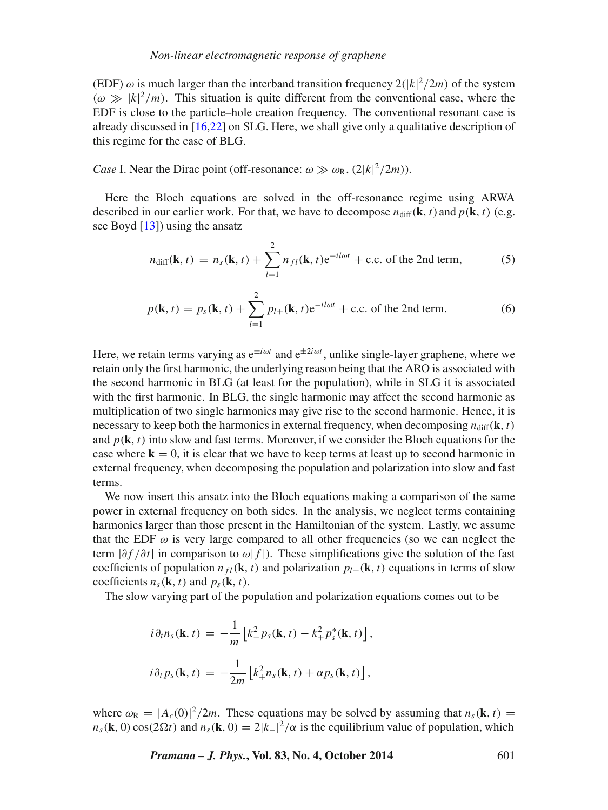(EDF)  $\omega$  is much larger than the interband transition frequency  $2(|k|^2/2m)$  of the system  $(\omega \gg |k|^2/m)$ . This situation is quite different from the conventional case, where the EDF is close to the particle–hole creation frequency. The conventional resonant case is already discussed in [\[16](#page-19-12)[,22\]](#page-20-7) on SLG. Here, we shall give only a qualitative description of this regime for the case of BLG.

*Case* I. Near the Dirac point (off-resonance:  $\omega \gg \omega_R$ , (2|*k*|<sup>2</sup>/2*m*)).

Here the Bloch equations are solved in the off-resonance regime using ARWA described in our earlier work. For that, we have to decompose  $n_{diff}(\mathbf{k}, t)$  and  $p(\mathbf{k}, t)$  (e.g. see Boyd [\[13\]](#page-19-15)) using the ansatz

<span id="page-4-0"></span>
$$
n_{\text{diff}}(\mathbf{k}, t) = n_s(\mathbf{k}, t) + \sum_{l=1}^{2} n_{fl}(\mathbf{k}, t) e^{-il\omega t} + \text{c.c. of the 2nd term}, \tag{5}
$$

$$
p(\mathbf{k}, t) = p_s(\mathbf{k}, t) + \sum_{l=1}^{2} p_{l+}(\mathbf{k}, t) e^{-il\omega t} + \text{c.c. of the 2nd term.}
$$
 (6)

Here, we retain terms varying as  $e^{\pm i\omega t}$  and  $e^{\pm 2i\omega t}$ , unlike single-layer graphene, where we retain only the first harmonic, the underlying reason being that the ARO is associated with the second harmonic in BLG (at least for the population), while in SLG it is associated with the first harmonic. In BLG, the single harmonic may affect the second harmonic as multiplication of two single harmonics may give rise to the second harmonic. Hence, it is necessary to keep both the harmonics in external frequency, when decomposing  $n_{\text{diff}}(\mathbf{k}, t)$ and  $p(\mathbf{k},t)$  into slow and fast terms. Moreover, if we consider the Bloch equations for the case where  $\mathbf{k} = 0$ , it is clear that we have to keep terms at least up to second harmonic in external frequency, when decomposing the population and polarization into slow and fast terms.

We now insert this ansatz into the Bloch equations making a comparison of the same power in external frequency on both sides. In the analysis, we neglect terms containing harmonics larger than those present in the Hamiltonian of the system. Lastly, we assume that the EDF  $\omega$  is very large compared to all other frequencies (so we can neglect the term |*∂f /∂t*| in comparison to *ω*|*f* |). These simplifications give the solution of the fast coefficients of population  $n_f$ (**k***,t*) and polarization  $p_l$ <sub>+</sub>(**k***,t*) equations in terms of slow coefficients  $n_s(\mathbf{k}, t)$  and  $p_s(\mathbf{k}, t)$ .

The slow varying part of the population and polarization equations comes out to be

$$
i\partial_t n_s(\mathbf{k}, t) = -\frac{1}{m} \left[ k_-^2 p_s(\mathbf{k}, t) - k_+^2 p_s^*(\mathbf{k}, t) \right],
$$
  

$$
i\partial_t p_s(\mathbf{k}, t) = -\frac{1}{2m} \left[ k_+^2 n_s(\mathbf{k}, t) + \alpha p_s(\mathbf{k}, t) \right],
$$

where  $\omega_R = |A_c(0)|^2 / 2m$ . These equations may be solved by assuming that  $n_s(\mathbf{k}, t) =$  $n_s(\mathbf{k}, 0) \cos(2\Omega t)$  and  $n_s(\mathbf{k}, 0) = 2|k_-|^2/\alpha$  is the equilibrium value of population, which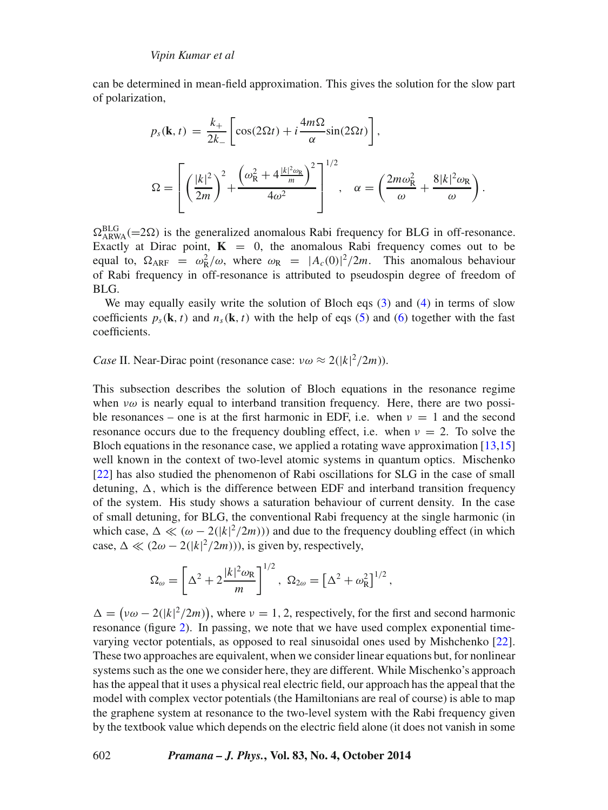can be determined in mean-field approximation. This gives the solution for the slow part of polarization,

$$
p_s(\mathbf{k}, t) = \frac{k_+}{2k_-} \left[ \cos(2\Omega t) + i \frac{4m\Omega}{\alpha} \sin(2\Omega t) \right],
$$
  

$$
\Omega = \left[ \left( \frac{|k|^2}{2m} \right)^2 + \frac{\left( \omega_{\rm R}^2 + 4 \frac{|k|^2 \omega_{\rm R}}{m} \right)^2}{4\omega^2} \right]^{1/2}, \quad \alpha = \left( \frac{2m\omega_{\rm R}^2}{\omega} + \frac{8|k|^2 \omega_{\rm R}}{\omega} \right).
$$

 $\Omega_{ARWA}^{BLG}$  (=2 $\Omega$ ) is the generalized anomalous Rabi frequency for BLG in off-resonance. Exactly at Dirac point,  $\mathbf{K} = 0$ , the anomalous Rabi frequency comes out to be equal to,  $\Omega_{\text{ARF}} = \omega_{\text{R}}^2/\omega$ , where  $\omega_{\text{R}} = |A_c(0)|^2/2m$ . This anomalous behaviour of Rabi frequency in off-resonance is attributed to pseudospin degree of freedom of BLG.

We may equally easily write the solution of Bloch eqs [\(3\)](#page-3-0) and [\(4\)](#page-3-1) in terms of slow coefficients  $p_s(\mathbf{k}, t)$  and  $n_s(\mathbf{k}, t)$  with the help of eqs [\(5\)](#page-4-0) and [\(6\)](#page-4-0) together with the fast coefficients.

*Case* II. Near-Dirac point (resonance case:  $v\omega \approx 2(|k|^2/2m)$ ).

This subsection describes the solution of Bloch equations in the resonance regime when *νω* is nearly equal to interband transition frequency. Here, there are two possible resonances – one is at the first harmonic in EDF, i.e. when  $\nu = 1$  and the second resonance occurs due to the frequency doubling effect, i.e. when  $\nu = 2$ . To solve the Bloch equations in the resonance case, we applied a rotating wave approximation [\[13,](#page-19-15)[15\]](#page-19-11) well known in the context of two-level atomic systems in quantum optics. Mischenko [\[22\]](#page-20-7) has also studied the phenomenon of Rabi oscillations for SLG in the case of small detuning,  $\Delta$ , which is the difference between EDF and interband transition frequency of the system. His study shows a saturation behaviour of current density. In the case of small detuning, for BLG, the conventional Rabi frequency at the single harmonic (in which case,  $\Delta \ll (\omega - 2(|k|^2/2m))$  and due to the frequency doubling effect (in which case,  $\Delta \ll (2\omega - 2(|k|^2/2m))$ , is given by, respectively,

$$
\Omega_{\omega} = \left[ \Delta^2 + 2 \frac{|k|^2 \omega_{\rm R}}{m} \right]^{1/2}, \ \Omega_{2\omega} = \left[ \Delta^2 + \omega_{\rm R}^2 \right]^{1/2},
$$

 $\Delta = (\nu \omega - 2(|k|^2/2m))$ , where  $\nu = 1, 2$ , respectively, for the first and second harmonic resonance (figure [2\)](#page-6-0). In passing, we note that we have used complex exponential timevarying vector potentials, as opposed to real sinusoidal ones used by Mishchenko [\[22\]](#page-20-7). These two approaches are equivalent, when we consider linear equations but, for nonlinear systems such as the one we consider here, they are different. While Mischenko's approach has the appeal that it uses a physical real electric field, our approach has the appeal that the model with complex vector potentials (the Hamiltonians are real of course) is able to map the graphene system at resonance to the two-level system with the Rabi frequency given by the textbook value which depends on the electric field alone (it does not vanish in some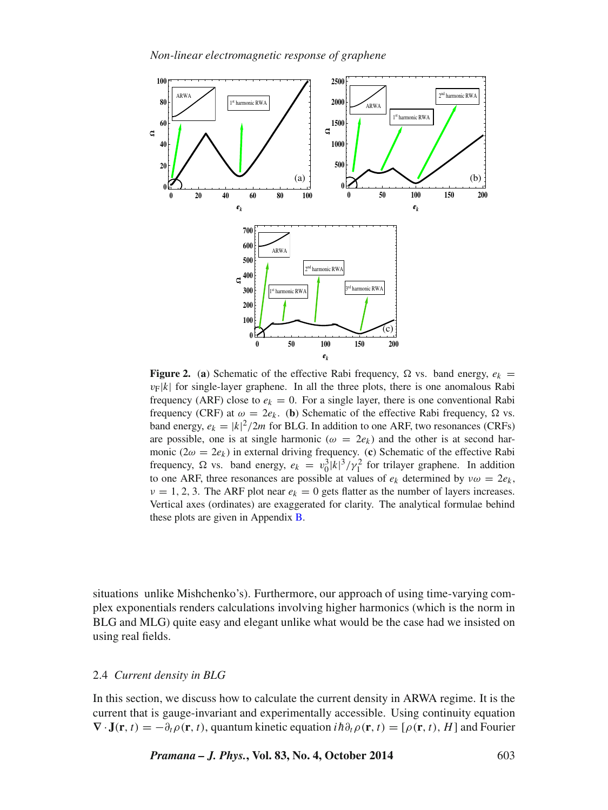<span id="page-6-0"></span>

**Figure 2.** (a) Schematic of the effective Rabi frequency,  $\Omega$  vs. band energy,  $e_k$  =  $v_F|k|$  for single-layer graphene. In all the three plots, there is one anomalous Rabi frequency (ARF) close to  $e_k = 0$ . For a single layer, there is one conventional Rabi frequency (CRF) at  $ω = 2e_k$ . (**b**) Schematic of the effective Rabi frequency, Ω vs. band energy,  $e_k = |k|^2 / 2m$  for BLG. In addition to one ARF, two resonances (CRFs) are possible, one is at single harmonic ( $\omega = 2e_k$ ) and the other is at second harmonic ( $2\omega = 2e_k$ ) in external driving frequency. (c) Schematic of the effective Rabi frequency,  $\Omega$  vs. band energy,  $e_k = v_0^3 |k|^3 / \gamma_1^2$  for trilayer graphene. In addition to one ARF, three resonances are possible at values of  $e_k$  determined by  $v\omega = 2e_k$ ,  $\nu = 1, 2, 3$ . The ARF plot near  $e_k = 0$  gets flatter as the number of layers increases. Vertical axes (ordinates) are exaggerated for clarity. The analytical formulae behind these plots are given in Appendix [B.](#page-18-0)

situations unlike Mishchenko's). Furthermore, our approach of using time-varying complex exponentials renders calculations involving higher harmonics (which is the norm in BLG and MLG) quite easy and elegant unlike what would be the case had we insisted on using real fields.

## <span id="page-6-1"></span>2.4 *Current density in BLG*

In this section, we discuss how to calculate the current density in ARWA regime. It is the current that is gauge-invariant and experimentally accessible. Using continuity equation  **·<b>J**(**r***,t*) = −*∂*<sub>*t</sub>* $\rho$ (**r***,t*), quantum kinetic equation *ih*∂<sub>*t*</sub> $\rho$ (**r**,*t*) = [ $\rho$ (**r**,*t*), *H*] and Fourier</sub>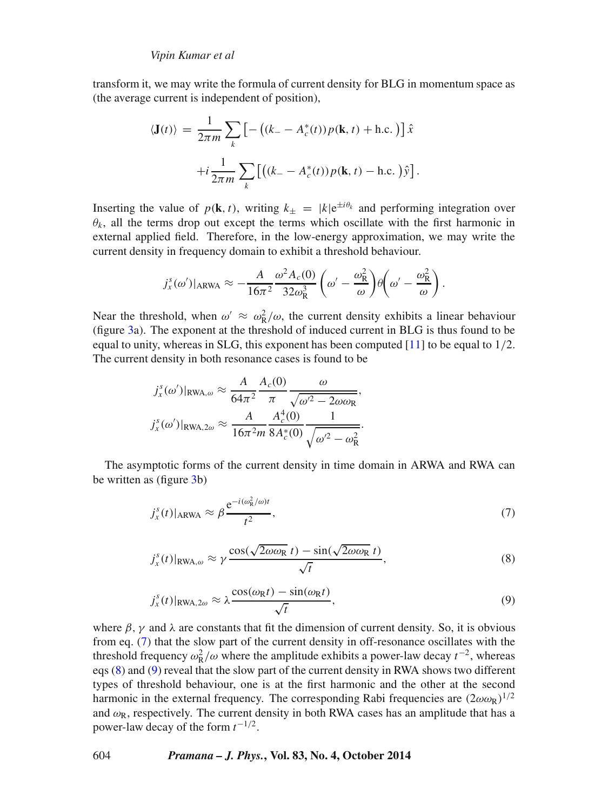transform it, we may write the formula of current density for BLG in momentum space as (the average current is independent of position),

$$
\langle \mathbf{J}(t) \rangle = \frac{1}{2\pi m} \sum_{k} \left[ - \left( (k_- - A_c^*(t)) p(\mathbf{k}, t) + \text{h.c.} \right) \right] \hat{x}
$$

$$
+ i \frac{1}{2\pi m} \sum_{k} \left[ \left( (k_- - A_c^*(t)) p(\mathbf{k}, t) - \text{h.c.} \right) \hat{y} \right].
$$

Inserting the value of  $p(\mathbf{k},t)$ , writing  $k_{\pm} = |k|e^{\pm i\theta_k}$  and performing integration over  $\theta_k$ , all the terms drop out except the terms which oscillate with the first harmonic in external applied field. Therefore, in the low-energy approximation, we may write the current density in frequency domain to exhibit a threshold behaviour.

$$
j_x^s(\omega')|_{ARWA} \approx -\frac{A}{16\pi^2} \frac{\omega^2 A_c(0)}{32\omega_R^3} \left(\omega' - \frac{\omega_R^2}{\omega}\right) \theta \left(\omega' - \frac{\omega_R^2}{\omega}\right).
$$

Near the threshold, when  $\omega' \approx \omega_R^2/\omega$ , the current density exhibits a linear behaviour (figure [3a](#page-8-0)). The exponent at the threshold of induced current in BLG is thus found to be equal to unity, whereas in SLG, this exponent has been computed [\[11\]](#page-19-8) to be equal to 1*/*2. The current density in both resonance cases is found to be

$$
j_x^s(\omega')|_{\text{RWA},\omega} \approx \frac{A}{64\pi^2} \frac{A_c(0)}{\pi} \frac{\omega}{\sqrt{\omega'^2 - 2\omega\omega_{\text{R}}}},
$$
  

$$
j_x^s(\omega')|_{\text{RWA},2\omega} \approx \frac{A}{16\pi^2 m} \frac{A_c^4(0)}{8A_c^*(0)} \frac{1}{\sqrt{\omega'^2 - \omega_{\text{R}}^2}}.
$$

The asymptotic forms of the current density in time domain in ARWA and RWA can be written as (figure [3b](#page-8-0))

<span id="page-7-0"></span>
$$
j_x^s(t)|_{\text{ARWA}} \approx \beta \frac{e^{-i(\omega_{\text{R}}^2/\omega)t}}{t^2},\tag{7}
$$

<span id="page-7-1"></span>
$$
j_x^s(t)|_{\text{RWA},\omega} \approx \gamma \frac{\cos(\sqrt{2\omega\omega_{\text{R}}}t) - \sin(\sqrt{2\omega\omega_{\text{R}}}t)}{\sqrt{t}},\tag{8}
$$

$$
j_x^s(t)|_{\text{RWA},2\omega} \approx \lambda \frac{\cos(\omega_{\text{R}}t) - \sin(\omega_{\text{R}}t)}{\sqrt{t}},\tag{9}
$$

<span id="page-7-2"></span>where  $\beta$ ,  $\gamma$  and  $\lambda$  are constants that fit the dimension of current density. So, it is obvious from eq. [\(7\)](#page-7-0) that the slow part of the current density in off-resonance oscillates with the threshold frequency  $\omega_R^2/\omega$  where the amplitude exhibits a power-law decay  $t^{-2}$ , whereas eqs [\(8\)](#page-7-1) and [\(9\)](#page-7-2) reveal that the slow part of the current density in RWA shows two different types of threshold behaviour, one is at the first harmonic and the other at the second harmonic in the external frequency. The corresponding Rabi frequencies are  $(2\omega\omega_R)^{1/2}$ and  $\omega_R$ , respectively. The current density in both RWA cases has an amplitude that has a power-law decay of the form *t* <sup>−</sup>1*/*2.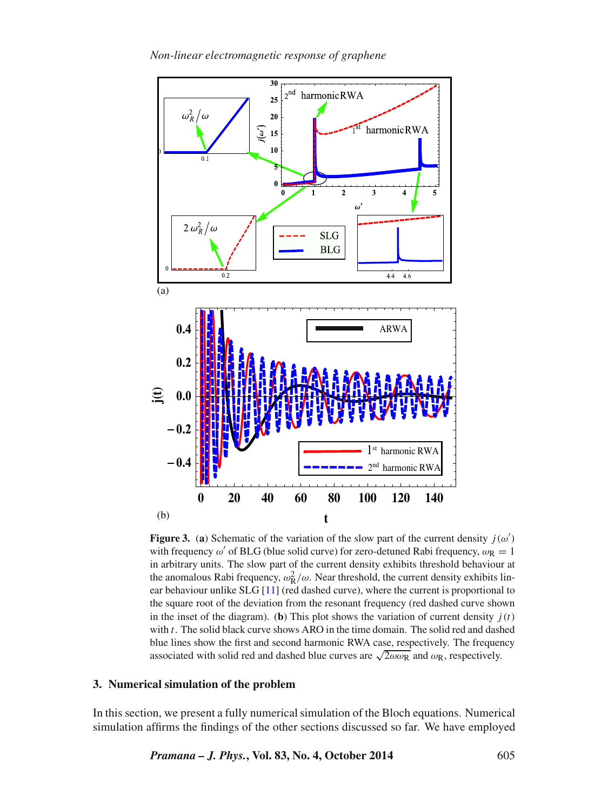<span id="page-8-0"></span>

**Figure 3.** (a) Schematic of the variation of the slow part of the current density  $j(\omega')$ with frequency  $\omega'$  of BLG (blue solid curve) for zero-detuned Rabi frequency,  $\omega_R = 1$ in arbitrary units. The slow part of the current density exhibits threshold behaviour at the anomalous Rabi frequency,  $\omega_R^2/\omega$ . Near threshold, the current density exhibits linear behaviour unlike SLG [\[11\]](#page-19-8) (red dashed curve), where the current is proportional to the square root of the deviation from the resonant frequency (red dashed curve shown in the inset of the diagram). (**b**) This plot shows the variation of current density  $j(t)$ with *t*. The solid black curve shows ARO in the time domain. The solid red and dashed blue lines show the first and second harmonic RWA case, respectively. The frequency associated with solid red and dashed blue curves are  $\sqrt{2\omega\omega_R}$  and  $\omega_R$ , respectively.

# **3. Numerical simulation of the problem**

In this section, we present a fully numerical simulation of the Bloch equations. Numerical simulation affirms the findings of the other sections discussed so far. We have employed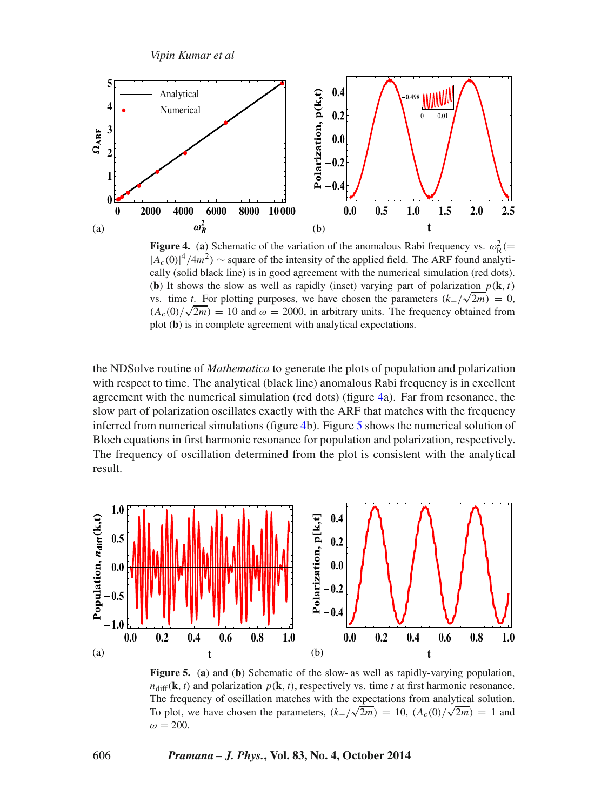<span id="page-9-0"></span>![](_page_9_Figure_1.jpeg)

**Figure 4.** (a) Schematic of the variation of the anomalous Rabi frequency vs.  $\omega_R^2$  (= |*Ac(*0*)*| <sup>4</sup>*/*4*m*2*)* <sup>∼</sup> square of the intensity of the applied field. The ARF found analytically (solid black line) is in good agreement with the numerical simulation (red dots). (**b**) It shows the slow as well as rapidly (inset) varying part of polarization  $p(\mathbf{k}, t)$ vs. time *t*. For plotting purposes, we have chosen the parameters  $(k_1/\sqrt{2m}) = 0$ ,  $(A_c(0)/\sqrt{2m}) = 10$  and  $\omega = 2000$ , in arbitrary units. The frequency obtained from plot (**b**) is in complete agreement with analytical expectations.

the NDSolve routine of *Mathematica* to generate the plots of population and polarization with respect to time. The analytical (black line) anomalous Rabi frequency is in excellent agreement with the numerical simulation (red dots) (figure [4a](#page-9-0)). Far from resonance, the slow part of polarization oscillates exactly with the ARF that matches with the frequency inferred from numerical simulations (figure [4b](#page-9-0)). Figure [5](#page-9-1) shows the numerical solution of Bloch equations in first harmonic resonance for population and polarization, respectively. The frequency of oscillation determined from the plot is consistent with the analytical result.

<span id="page-9-1"></span>![](_page_9_Figure_4.jpeg)

**Figure 5.** (**a**) and (**b**) Schematic of the slow- as well as rapidly-varying population,  $n_{diff}(\mathbf{k}, t)$  and polarization  $p(\mathbf{k}, t)$ , respectively vs. time *t* at first harmonic resonance. The frequency of oscillation matches with the expectations from analytical solution. To plot, we have chosen the parameters,  $(k_-/\sqrt{2m}) = 10$ ,  $(A_c(0)/\sqrt{2m}) = 1$  and  $\omega = 200$ .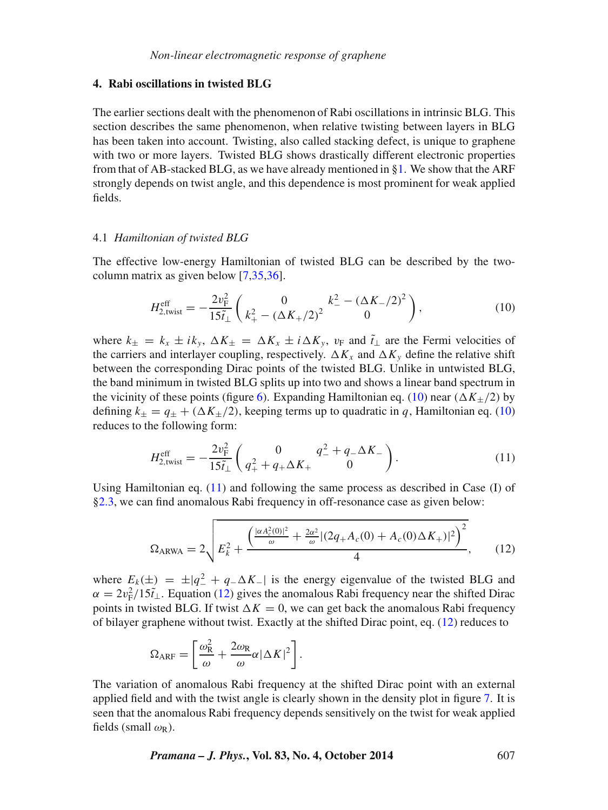## **4. Rabi oscillations in twisted BLG**

The earlier sections dealt with the phenomenon of Rabi oscillations in intrinsic BLG. This section describes the same phenomenon, when relative twisting between layers in BLG has been taken into account. Twisting, also called stacking defect, is unique to graphene with two or more layers. Twisted BLG shows drastically different electronic properties from that of AB-stacked BLG, as we have already mentioned in [§1.](#page-0-0) We show that the ARF strongly depends on twist angle, and this dependence is most prominent for weak applied fields.

#### 4.1 *Hamiltonian of twisted BLG*

The effective low-energy Hamiltonian of twisted BLG can be described by the twocolumn matrix as given below [\[7](#page-19-5)[,35](#page-20-8)[,36\]](#page-20-9).

<span id="page-10-0"></span>
$$
H_{2,\text{twist}}^{\text{eff}} = -\frac{2v_{\text{F}}^2}{15\tilde{t}_{\perp}} \left( \frac{0}{k_+^2 - (\Delta K_+/2)^2} \right),\tag{10}
$$

where  $k_{\pm} = k_x \pm ik_y$ ,  $\Delta K_{\pm} = \Delta K_x \pm i \Delta K_y$ ,  $v_F$  and  $\tilde{t}_\perp$  are the Fermi velocities of the carriers and interlayer coupling, respectively.  $\Delta K_x$  and  $\Delta K_y$  define the relative shift between the corresponding Dirac points of the twisted BLG. Unlike in untwisted BLG, the band minimum in twisted BLG splits up into two and shows a linear band spectrum in the vicinity of these points (figure [6\)](#page-11-0). Expanding Hamiltonian eq. [\(10\)](#page-10-0) near  $(\Delta K_{+}/2)$  by defining  $k_{\pm} = q_{\pm} + (\Delta K_{\pm}/2)$ , keeping terms up to quadratic in q, Hamiltonian eq. [\(10\)](#page-10-0) reduces to the following form:

<span id="page-10-1"></span>
$$
H_{2,\text{twist}}^{\text{eff}} = -\frac{2v_{\text{F}}^2}{15\tilde{t}_{\perp}} \left( \frac{0}{q_+^2 + q_+ \Delta K_+} \frac{q_-^2 + q_- \Delta K_-}{0} \right). \tag{11}
$$

Using Hamiltonian eq. [\(11\)](#page-10-1) and following the same process as described in Case (I) of [§2.3,](#page-3-2) we can find anomalous Rabi frequency in off-resonance case as given below:

<span id="page-10-2"></span>
$$
\Omega_{\text{ARWA}} = 2\sqrt{E_k^2 + \frac{\left(\frac{|\alpha A_c^2(0)|^2}{\omega} + \frac{2\alpha^2}{\omega} |(2q_+A_c(0) + A_c(0)\Delta K_+)|^2\right)^2}{4}},\qquad(12)
$$

where  $E_k(\pm) = \pm |q^2 + q - \Delta K_-|$  is the energy eigenvalue of the twisted BLG and  $\alpha = 2v_F^2/15\tilde{t}_\perp$ . Equation [\(12\)](#page-10-2) gives the anomalous Rabi frequency near the shifted Dirac points in twisted BLG. If twist  $\Delta K = 0$ , we can get back the anomalous Rabi frequency of bilayer graphene without twist. Exactly at the shifted Dirac point, eq. [\(12\)](#page-10-2) reduces to

$$
\Omega_{\text{ARF}} = \left[ \frac{\omega_{\text{R}}^2}{\omega} + \frac{2\omega_{\text{R}}}{\omega} \alpha |\Delta K|^2 \right].
$$

The variation of anomalous Rabi frequency at the shifted Dirac point with an external applied field and with the twist angle is clearly shown in the density plot in figure [7.](#page-11-1) It is seen that the anomalous Rabi frequency depends sensitively on the twist for weak applied fields (small  $\omega_R$ ).

*Pramana – J. Phys.***, Vol. 83, No. 4, October 2014** 607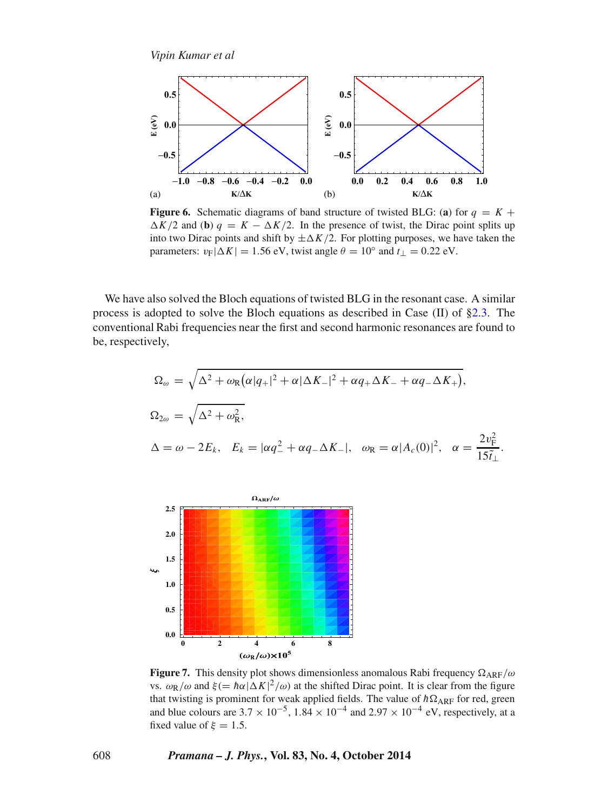<span id="page-11-0"></span>![](_page_11_Figure_1.jpeg)

**Figure 6.** Schematic diagrams of band structure of twisted BLG: (a) for  $q = K +$  $\Delta K/2$  and (**b**)  $q = K - \Delta K/2$ . In the presence of twist, the Dirac point splits up into two Dirac points and shift by  $\pm \Delta K/2$ . For plotting purposes, we have taken the parameters:  $v_F|\Delta K| = 1.56$  eV, twist angle  $\theta = 10^\circ$  and  $t_\perp = 0.22$  eV.

We have also solved the Bloch equations of twisted BLG in the resonant case. A similar process is adopted to solve the Bloch equations as described in Case  $(II)$  of [§2.3.](#page-3-2) The conventional Rabi frequencies near the first and second harmonic resonances are found to be, respectively,

$$
\Omega_{\omega} = \sqrt{\Delta^2 + \omega_R (\alpha |q_+|^2 + \alpha |\Delta K_-|^2 + \alpha q_+ \Delta K_- + \alpha q_- \Delta K_+)},
$$
  
\n
$$
\Omega_{2\omega} = \sqrt{\Delta^2 + \omega_R^2},
$$
  
\n
$$
\Delta = \omega - 2E_k, \quad E_k = |\alpha q_-^2 + \alpha q_- \Delta K_-|, \quad \omega_R = \alpha |A_c(0)|^2, \quad \alpha = \frac{2v_F^2}{15\tilde{t}_\perp}.
$$

<span id="page-11-1"></span>![](_page_11_Figure_5.jpeg)

**Figure 7.** This density plot shows dimensionless anomalous Rabi frequency  $\Omega_{\text{ARF}}/\omega$ vs.  $ω$ <sub>R</sub>/*ω* and *ξ*(=  $hα|ΔK|<sup>2</sup>/ω$ ) at the shifted Dirac point. It is clear from the figure that twisting is prominent for weak applied fields. The value of  $\hbar\Omega_{\text{ARF}}$  for red, green and blue colours are  $3.7 \times 10^{-5}$ ,  $1.84 \times 10^{-4}$  and  $2.97 \times 10^{-4}$  eV, respectively, at a fixed value of  $\xi = 1.5$ .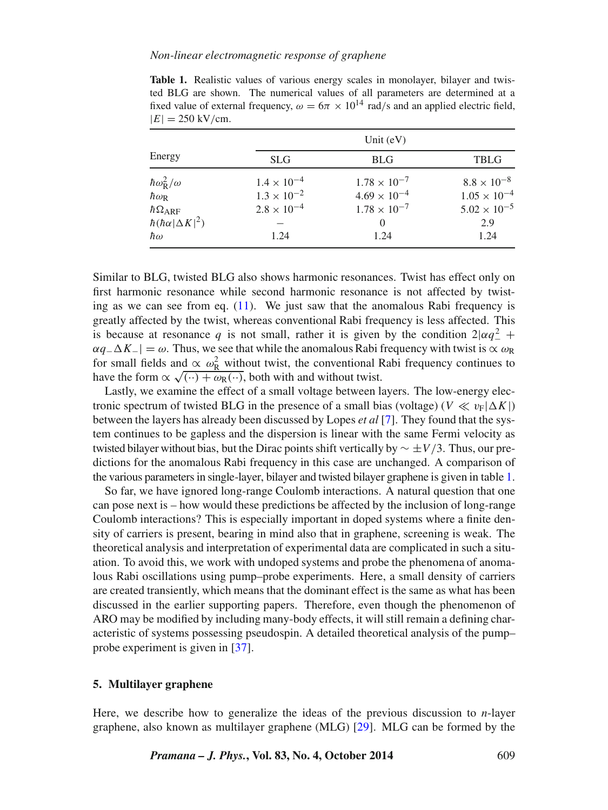## *Non-linear electromagnetic response of graphene*

| $ E  = 230$ KV/CIII.             |                      |                       |                       |
|----------------------------------|----------------------|-----------------------|-----------------------|
|                                  | Unit $(eV)$          |                       |                       |
| Energy                           | <b>SLG</b>           | <b>BLG</b>            | <b>TBLG</b>           |
| $\hbar \omega_{\rm R}^2/\omega$  | $1.4 \times 10^{-4}$ | $1.78 \times 10^{-7}$ | $8.8 \times 10^{-8}$  |
| $\hbar\omega_{\rm R}$            | $1.3 \times 10^{-2}$ | $4.69 \times 10^{-4}$ | $1.05 \times 10^{-4}$ |
| $\hbar\Omega_{\text{ARF}}$       | $2.8 \times 10^{-4}$ | $1.78 \times 10^{-7}$ | $5.02 \times 10^{-5}$ |
| $\hbar(\hbar\alpha \Delta K ^2)$ |                      | $\Omega$              | 2.9                   |
| $\hbar\omega$                    | 1.24                 | 1.24                  | 1.24                  |

<span id="page-12-0"></span>**Table 1.** Realistic values of various energy scales in monolayer, bilayer and twisted BLG are shown. The numerical values of all parameters are determined at a fixed value of external frequency,  $\omega = 6\pi \times 10^{14}$  rad/s and an applied electric field,  $|E| = 250 \text{ kV}$ /cm.

Similar to BLG, twisted BLG also shows harmonic resonances. Twist has effect only on first harmonic resonance while second harmonic resonance is not affected by twisting as we can see from eq. [\(11\)](#page-10-1). We just saw that the anomalous Rabi frequency is greatly affected by the twist, whereas conventional Rabi frequency is less affected. This is because at resonance *q* is not small, rather it is given by the condition  $2|\alpha q_-^2 +$  $\alpha q$ <sup>−</sup> $\Delta K$ <sup>−</sup>| =  $\omega$ . Thus, we see that while the anomalous Rabi frequency with twist is  $\alpha \omega_R$ for small fields and  $\propto \omega_R^2$  without twist, the conventional Rabi frequency continues to have the form  $\propto \sqrt{(\cdot \cdot) + \omega_{\mathbb{R}}(\cdot \cdot)}$ , both with and without twist.

Lastly, we examine the effect of a small voltage between layers. The low-energy electronic spectrum of twisted BLG in the presence of a small bias (voltage) ( $V \ll v_F|\Delta K|$ ) between the layers has already been discussed by Lopes *et al* [\[7\]](#page-19-5). They found that the system continues to be gapless and the dispersion is linear with the same Fermi velocity as twisted bilayer without bias, but the Dirac points shift vertically by ∼ ±*V /*3. Thus, our predictions for the anomalous Rabi frequency in this case are unchanged. A comparison of the various parameters in single-layer, bilayer and twisted bilayer graphene is given in table [1.](#page-12-0)

So far, we have ignored long-range Coulomb interactions. A natural question that one can pose next is – how would these predictions be affected by the inclusion of long-range Coulomb interactions? This is especially important in doped systems where a finite density of carriers is present, bearing in mind also that in graphene, screening is weak. The theoretical analysis and interpretation of experimental data are complicated in such a situation. To avoid this, we work with undoped systems and probe the phenomena of anomalous Rabi oscillations using pump–probe experiments. Here, a small density of carriers are created transiently, which means that the dominant effect is the same as what has been discussed in the earlier supporting papers. Therefore, even though the phenomenon of ARO may be modified by including many-body effects, it will still remain a defining characteristic of systems possessing pseudospin. A detailed theoretical analysis of the pump– probe experiment is given in [\[37\]](#page-20-10).

#### **5. Multilayer graphene**

Here, we describe how to generalize the ideas of the previous discussion to *n*-layer graphene, also known as multilayer graphene (MLG) [\[29\]](#page-20-4). MLG can be formed by the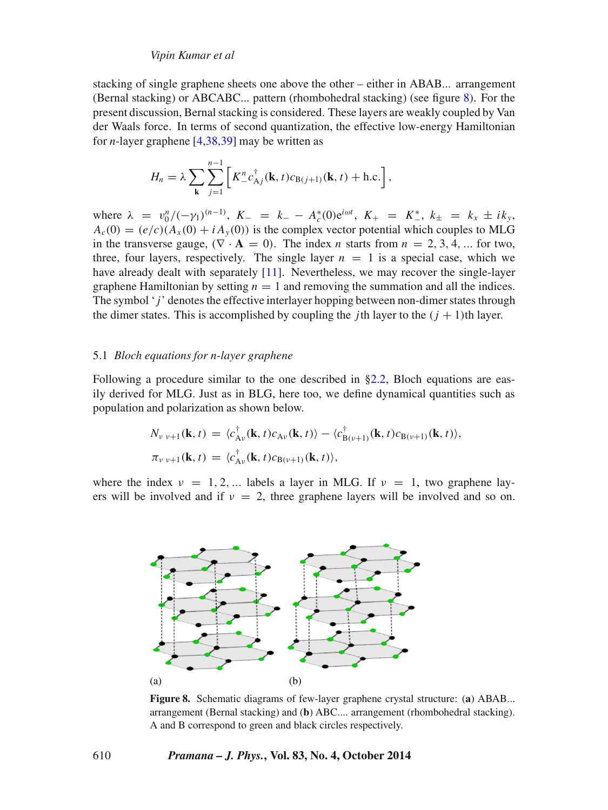stacking of single graphene sheets one above the other – either in ABAB... arrangement (Bernal stacking) or ABCABC... pattern (rhombohedral stacking) (see figure [8\)](#page-13-0). For the present discussion, Bernal stacking is considered. These layers are weakly coupled by Van der Waals force. In terms of second quantization, the effective low-energy Hamiltonian for *n*-layer graphene [\[4,](#page-19-3)[38](#page-20-11)[,39\]](#page-20-12) may be written as

$$
H_n = \lambda \sum_{\mathbf{k}} \sum_{j=1}^{n-1} \left[ K_-^n c_{\mathbf{A}j}^\dagger(\mathbf{k}, t) c_{\mathbf{B}(j+1)}(\mathbf{k}, t) + \text{h.c.} \right],
$$

where  $\lambda = v_0^n / (-\gamma_1)^{(n-1)}$ ,  $K_- = k_- - A_c^*(0)e^{i\omega t}$ ,  $K_+ = K_-^*, k_\pm = k_x \pm i k_y$  $A_c(0) = (e/c)(A_x(0) + iA_y(0))$  is the complex vector potential which couples to MLG in the transverse gauge,  $(\nabla \cdot \mathbf{A} = 0)$ . The index *n* starts from  $n = 2, 3, 4, ...$  for two, three, four layers, respectively. The single layer  $n = 1$  is a special case, which we have already dealt with separately [\[11\]](#page-19-8). Nevertheless, we may recover the single-layer graphene Hamiltonian by setting  $n = 1$  and removing the summation and all the indices. The symbol '*j* ' denotes the effective interlayer hopping between non-dimer states through the dimer states. This is accomplished by coupling the *j*th layer to the  $(i + 1)$ th layer.

#### 5.1 *Bloch equations for n-layer graphene*

Following a procedure similar to the one described in [§2.2,](#page-3-3) Bloch equations are easily derived for MLG. Just as in BLG, here too, we define dynamical quantities such as population and polarization as shown below.

$$
N_{\nu \nu+1}(\mathbf{k},t) = \langle c_{A\nu}^{\dagger}(\mathbf{k},t)c_{A\nu}(\mathbf{k},t)\rangle - \langle c_{B(\nu+1)}^{\dagger}(\mathbf{k},t)c_{B(\nu+1)}(\mathbf{k},t)\rangle,
$$
  

$$
\pi_{\nu \nu+1}(\mathbf{k},t) = \langle c_{A\nu}^{\dagger}(\mathbf{k},t)c_{B(\nu+1)}(\mathbf{k},t)\rangle,
$$

<span id="page-13-0"></span>where the index  $\nu = 1, 2, \dots$  labels a layer in MLG. If  $\nu = 1$ , two graphene layers will be involved and if  $v = 2$ , three graphene layers will be involved and so on.

![](_page_13_Figure_8.jpeg)

**Figure 8.** Schematic diagrams of few-layer graphene crystal structure: (**a**) ABAB... arrangement (Bernal stacking) and (**b**) ABC.... arrangement (rhombohedral stacking). A and B correspond to green and black circles respectively.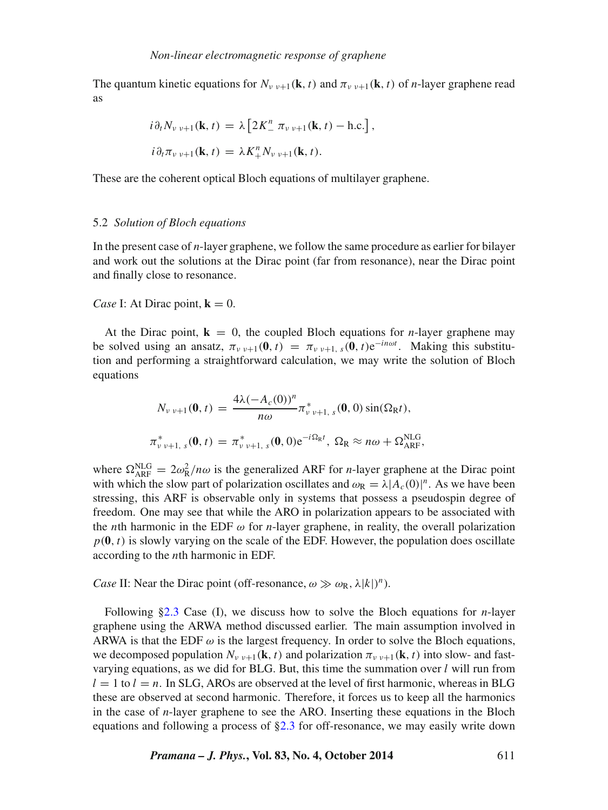The quantum kinetic equations for  $N_{v \ v+1}(\mathbf{k}, t)$  and  $\pi_{v \ v+1}(\mathbf{k}, t)$  of *n*-layer graphene read as

$$
i\partial_t N_{\nu \nu+1}(\mathbf{k}, t) = \lambda \left[ 2K_-^n \pi_{\nu \nu+1}(\mathbf{k}, t) - \text{h.c.} \right],
$$
  

$$
i\partial_t \pi_{\nu \nu+1}(\mathbf{k}, t) = \lambda K_+^n N_{\nu \nu+1}(\mathbf{k}, t).
$$

These are the coherent optical Bloch equations of multilayer graphene.

#### 5.2 *Solution of Bloch equations*

In the present case of *n*-layer graphene, we follow the same procedure as earlier for bilayer and work out the solutions at the Dirac point (far from resonance), near the Dirac point and finally close to resonance.

## *Case* I: At Dirac point,  $\mathbf{k} = 0$ .

At the Dirac point,  $\mathbf{k} = 0$ , the coupled Bloch equations for *n*-layer graphene may be solved using an ansatz,  $\pi_{v,v+1}(\mathbf{0},t) = \pi_{v,v+1,s}(\mathbf{0},t)e^{-in\omega t}$ . Making this substitution and performing a straightforward calculation, we may write the solution of Bloch equations

$$
N_{\nu \nu+1}(\mathbf{0}, t) = \frac{4\lambda (-A_c(0))^n}{n\omega} \pi_{\nu \nu+1, s}^*(\mathbf{0}, 0) \sin(\Omega_R t),
$$
  

$$
\pi_{\nu \nu+1, s}^*(\mathbf{0}, t) = \pi_{\nu \nu+1, s}^*(\mathbf{0}, 0) e^{-i\Omega_R t}, \ \Omega_R \approx n\omega + \Omega_{\text{ARF}}^{\text{NLG}},
$$

where  $\Omega_{\text{ARF}}^{\text{NLG}} = 2\omega_{\text{R}}^2 / n\omega$  is the generalized ARF for *n*-layer graphene at the Dirac point with which the slow part of polarization oscillates and  $\omega_R = \lambda |A_c(0)|^n$ . As we have been stressing, this ARF is observable only in systems that possess a pseudospin degree of freedom. One may see that while the ARO in polarization appears to be associated with the *n*th harmonic in the EDF  $\omega$  for *n*-layer graphene, in reality, the overall polarization  $p(\mathbf{0},t)$  is slowly varying on the scale of the EDF. However, the population does oscillate according to the *n*th harmonic in EDF.

*Case* II: Near the Dirac point (off-resonance,  $\omega \gg \omega_R$ ,  $\lambda |k|$ <sup>*n*</sup>).

Following [§2.3](#page-3-2) Case (I), we discuss how to solve the Bloch equations for *n*-layer graphene using the ARWA method discussed earlier. The main assumption involved in ARWA is that the EDF  $\omega$  is the largest frequency. In order to solve the Bloch equations, we decomposed population  $N_{\nu \nu+1}(\mathbf{k}, t)$  and polarization  $\pi_{\nu \nu+1}(\mathbf{k}, t)$  into slow- and fastvarying equations, as we did for BLG. But, this time the summation over *l* will run from  $l = 1$  to  $l = n$ . In SLG, AROs are observed at the level of first harmonic, whereas in BLG these are observed at second harmonic. Therefore, it forces us to keep all the harmonics in the case of *n*-layer graphene to see the ARO. Inserting these equations in the Bloch equations and following a process of [§2.3](#page-3-2) for off-resonance, we may easily write down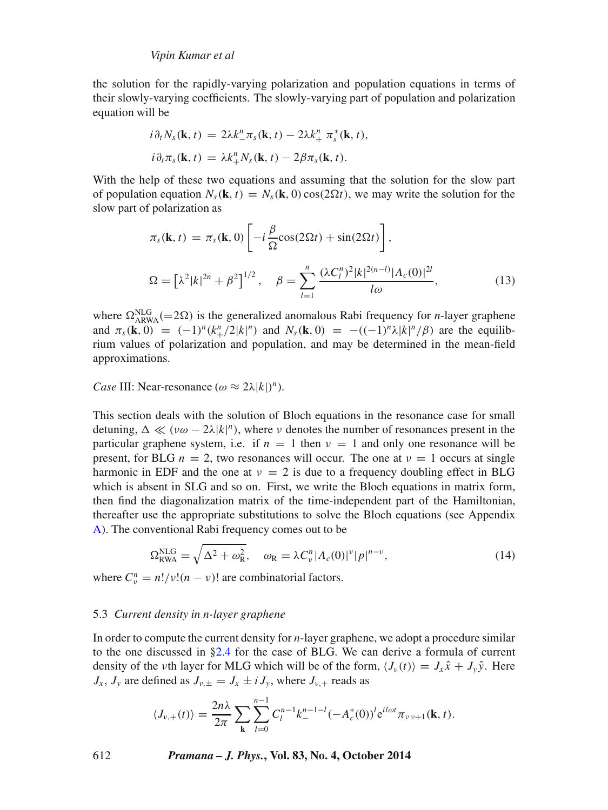the solution for the rapidly-varying polarization and population equations in terms of their slowly-varying coefficients. The slowly-varying part of population and polarization equation will be

$$
i\partial_t N_s(\mathbf{k}, t) = 2\lambda k_-^n \pi_s(\mathbf{k}, t) - 2\lambda k_+^n \pi_s^*(\mathbf{k}, t),
$$
  

$$
i\partial_t \pi_s(\mathbf{k}, t) = \lambda k_+^n N_s(\mathbf{k}, t) - 2\beta \pi_s(\mathbf{k}, t).
$$

With the help of these two equations and assuming that the solution for the slow part of population equation  $N_s(\mathbf{k}, t) = N_s(\mathbf{k}, 0) \cos(2\Omega t)$ , we may write the solution for the slow part of polarization as

$$
\pi_s(\mathbf{k}, t) = \pi_s(\mathbf{k}, 0) \left[ -i \frac{\beta}{\Omega} \cos(2\Omega t) + \sin(2\Omega t) \right],
$$
  
\n
$$
\Omega = \left[ \lambda^2 |k|^{2n} + \beta^2 \right]^{1/2}, \quad \beta = \sum_{l=1}^n \frac{(\lambda C_l^n)^2 |k|^{2(n-l)} |A_c(0)|^{2l}}{l\omega},
$$
\n(13)

where  $\Omega_{ARWA}^{NLG}$  (=2 $\Omega$ ) is the generalized anomalous Rabi frequency for *n*-layer graphene and  $\pi_s(\mathbf{k}, 0) = (-1)^n (k_+^n/2|k|^n)$  and  $N_s(\mathbf{k}, 0) = -((-1)^n \lambda |k|^n/\beta)$  are the equilibrium values of polarization and population, and may be determined in the mean-field approximations.

*Case* III: Near-resonance  $(\omega \approx 2\lambda |k|)^n$ .

This section deals with the solution of Bloch equations in the resonance case for small detuning,  $\Delta \ll (\nu \omega - 2\lambda |k|^n)$ , where  $\nu$  denotes the number of resonances present in the particular graphene system, i.e. if  $n = 1$  then  $\nu = 1$  and only one resonance will be present, for BLG  $n = 2$ , two resonances will occur. The one at  $\nu = 1$  occurs at single harmonic in EDF and the one at  $v = 2$  is due to a frequency doubling effect in BLG which is absent in SLG and so on. First, we write the Bloch equations in matrix form, then find the diagonalization matrix of the time-independent part of the Hamiltonian, thereafter use the appropriate substitutions to solve the Bloch equations (see Appendix [A\)](#page-16-0). The conventional Rabi frequency comes out to be

$$
\Omega_{\text{RWA}}^{\text{NLG}} = \sqrt{\Delta^2 + \omega_{\text{R}}^2}, \quad \omega_{\text{R}} = \lambda C_v^n |A_c(0)|^v |p|^{n-v}, \tag{14}
$$

where  $C_v^n = n! / v! (n - v)!$  are combinatorial factors.

#### 5.3 *Current density in n-layer graphene*

In order to compute the current density for *n*-layer graphene, we adopt a procedure similar to the one discussed in [§2.4](#page-6-1) for the case of BLG. We can derive a formula of current density of the *ν*th layer for MLG which will be of the form,  $\langle J_{\nu}(t) \rangle = J_{x} \hat{x} + J_{y} \hat{y}$ . Here  $J_x$ ,  $J_y$  are defined as  $J_{y,\pm} = J_x \pm i J_y$ , where  $J_{y,+}$  reads as

$$
\langle J_{\nu,+}(t)\rangle = \frac{2n\lambda}{2\pi} \sum_{\mathbf{k}} \sum_{l=0}^{n-1} C_l^{n-1} k_-^{n-1-l} (-A_c^*(0))^l e^{il\omega t} \pi_{\nu \nu+1}(\mathbf{k},t).
$$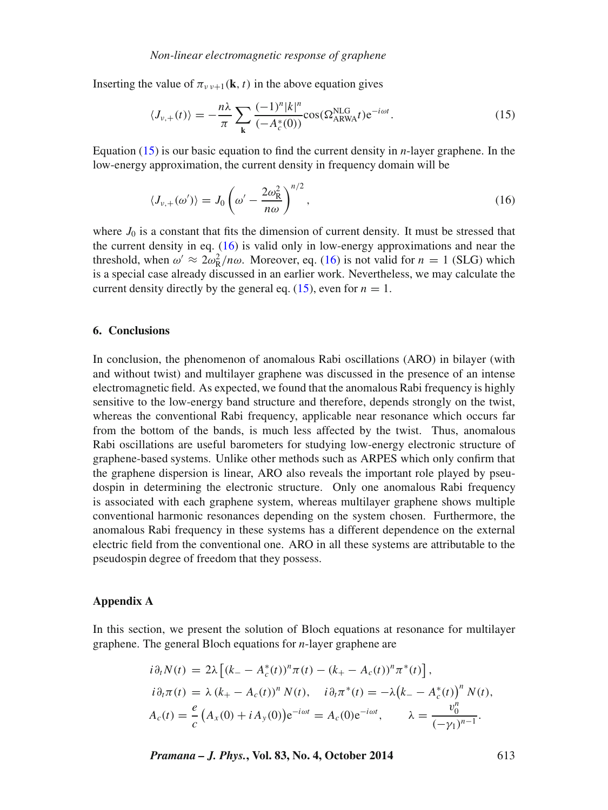Inserting the value of  $\pi_{\nu \nu+1}(\mathbf{k}, t)$  in the above equation gives

<span id="page-16-1"></span>
$$
\langle J_{\nu,+}(t) \rangle = -\frac{n\lambda}{\pi} \sum_{\mathbf{k}} \frac{(-1)^n |k|^n}{(-A_c^*(0))} \cos(\Omega_{ARWA}^{NLG} t) e^{-i\omega t}.
$$
 (15)

Equation [\(15\)](#page-16-1) is our basic equation to find the current density in *n*-layer graphene. In the low-energy approximation, the current density in frequency domain will be

<span id="page-16-2"></span>
$$
\langle J_{\nu,+}(\omega')\rangle = J_0 \left(\omega' - \frac{2\omega_{\rm R}^2}{n\omega}\right)^{n/2},\tag{16}
$$

where  $J_0$  is a constant that fits the dimension of current density. It must be stressed that the current density in eq. [\(16\)](#page-16-2) is valid only in low-energy approximations and near the threshold, when  $\omega' \approx 2\omega_R^2/n\omega$ . Moreover, eq. [\(16\)](#page-16-2) is not valid for  $n = 1$  (SLG) which is a special case already discussed in an earlier work. Nevertheless, we may calculate the current density directly by the general eq.  $(15)$ , even for  $n = 1$ .

#### **6. Conclusions**

In conclusion, the phenomenon of anomalous Rabi oscillations (ARO) in bilayer (with and without twist) and multilayer graphene was discussed in the presence of an intense electromagnetic field. As expected, we found that the anomalous Rabi frequency is highly sensitive to the low-energy band structure and therefore, depends strongly on the twist, whereas the conventional Rabi frequency, applicable near resonance which occurs far from the bottom of the bands, is much less affected by the twist. Thus, anomalous Rabi oscillations are useful barometers for studying low-energy electronic structure of graphene-based systems. Unlike other methods such as ARPES which only confirm that the graphene dispersion is linear, ARO also reveals the important role played by pseudospin in determining the electronic structure. Only one anomalous Rabi frequency is associated with each graphene system, whereas multilayer graphene shows multiple conventional harmonic resonances depending on the system chosen. Furthermore, the anomalous Rabi frequency in these systems has a different dependence on the external electric field from the conventional one. ARO in all these systems are attributable to the pseudospin degree of freedom that they possess.

#### <span id="page-16-0"></span>**Appendix A**

In this section, we present the solution of Bloch equations at resonance for multilayer graphene. The general Bloch equations for *n*-layer graphene are

$$
i\partial_t N(t) = 2\lambda \left[ (k_- - A_c^*(t))^n \pi(t) - (k_+ - A_c(t))^n \pi^*(t) \right],
$$
  
\n
$$
i\partial_t \pi(t) = \lambda (k_+ - A_c(t))^n N(t), \quad i\partial_t \pi^*(t) = -\lambda (k_- - A_c^*(t))^n N(t),
$$
  
\n
$$
A_c(t) = \frac{e}{c} (A_x(0) + iA_y(0)) e^{-i\omega t} = A_c(0) e^{-i\omega t}, \qquad \lambda = \frac{v_0^n}{(-\gamma_1)^{n-1}}.
$$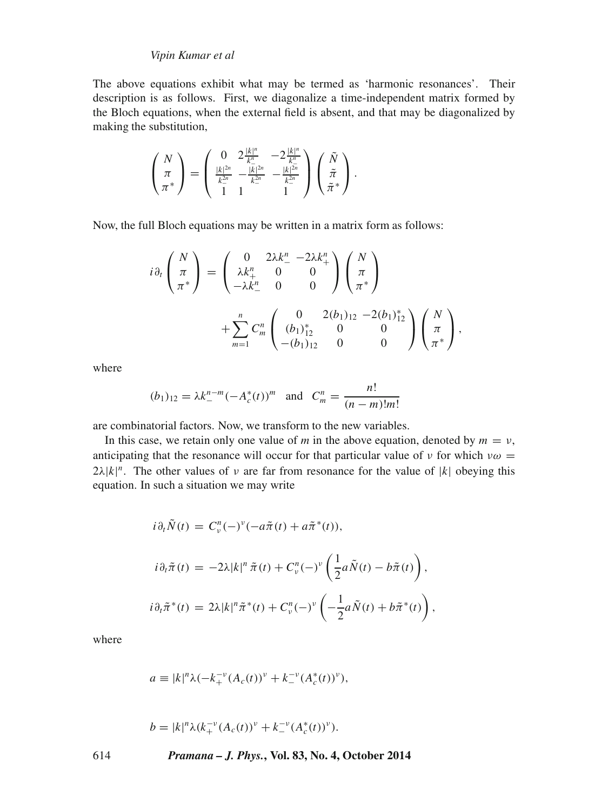The above equations exhibit what may be termed as 'harmonic resonances'. Their description is as follows. First, we diagonalize a time-independent matrix formed by the Bloch equations, when the external field is absent, and that may be diagonalized by making the substitution,

$$
\left(\begin{array}{c}N \\ \pi \\ \pi^*\end{array}\right) = \left(\begin{array}{cc} 0 & 2\frac{|k|^n}{k_-^n} & -2\frac{|k|^n}{k_-^n} \\ \frac{|k|^{2n}}{k_-^{2n}} & -\frac{|k|^{2n}}{k_-^{2n}} & -\frac{|k|^{2n}}{k_-^{2n}} \\ 1 & 1 & 1\end{array}\right)\left(\begin{array}{c}\tilde{N} \\ \tilde{\pi} \\ \tilde{\pi}^*\end{array}\right).
$$

Now, the full Bloch equations may be written in a matrix form as follows:

$$
i\partial_t \begin{pmatrix} N \\ \pi \\ \pi^* \end{pmatrix} = \begin{pmatrix} 0 & 2\lambda k_-^n - 2\lambda k_+^n \\ \lambda k_+^n & 0 & 0 \\ -\lambda k_-^n & 0 & 0 \end{pmatrix} \begin{pmatrix} N \\ \pi \\ \pi^* \end{pmatrix} + \sum_{m=1}^n C_m^n \begin{pmatrix} 0 & 2(b_1)_{12} - 2(b_1)_{12}^* \\ (b_1)_{12}^n & 0 & 0 \\ -(b_1)_{12} & 0 & 0 \end{pmatrix} \begin{pmatrix} N \\ \pi \\ \pi^* \end{pmatrix},
$$

where

$$
(b_1)_{12} = \lambda k_-^{n-m} (-A_c^*(t))^m
$$
 and  $C_m^n = \frac{n!}{(n-m)!m!}$ 

are combinatorial factors. Now, we transform to the new variables.

In this case, we retain only one value of *m* in the above equation, denoted by  $m = v$ , anticipating that the resonance will occur for that particular value of *ν* for which  $v\omega =$  $2\lambda |k|^n$ . The other values of *ν* are far from resonance for the value of  $|k|$  obeying this equation. In such a situation we may write

$$
i\partial_t \tilde{N}(t) = C_v^n(-)^v(-a\tilde{\pi}(t) + a\tilde{\pi}^*(t)),
$$
  
\n
$$
i\partial_t \tilde{\pi}(t) = -2\lambda |k|^n \tilde{\pi}(t) + C_v^n(-)^v \left(\frac{1}{2}a\tilde{N}(t) - b\tilde{\pi}(t)\right),
$$
  
\n
$$
i\partial_t \tilde{\pi}^*(t) = 2\lambda |k|^n \tilde{\pi}^*(t) + C_v^n(-)^v \left(-\frac{1}{2}a\tilde{N}(t) + b\tilde{\pi}^*(t)\right),
$$

where

$$
a \equiv |k|^n \lambda (-k_+^{-\nu} (A_c(t))^{\nu} + k_-^{-\nu} (A_c^*(t))^{\nu}),
$$

$$
b = |k|^n \lambda (k_+^{-\nu} (A_c(t))^{\nu} + k_-^{-\nu} (A_c^*(t))^{\nu}).
$$

614 *Pramana – J. Phys.***, Vol. 83, No. 4, October 2014**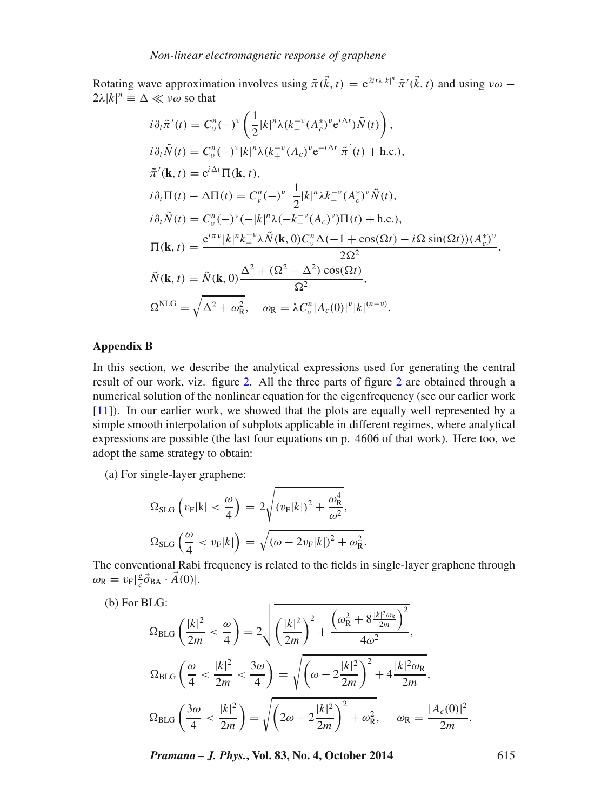Rotating wave approximation involves using  $\tilde{\pi}(\vec{k},t) = e^{2it\lambda|k|^n} \tilde{\pi}'(\vec{k},t)$  and using  $v\omega$  –  $2\lambda |k|^n \equiv \Delta \ll v\omega$  so that

$$
i\partial_t \tilde{\pi}'(t) = C_{\nu}^n (-)^{\nu} \left( \frac{1}{2} |k|^n \lambda (k_-^{\nu} (A_c^*)^{\nu} e^{i\Delta t}) \tilde{N}(t) \right),
$$
  
\n
$$
i\partial_t \tilde{N}(t) = C_{\nu}^n (-)^{\nu} |k|^n \lambda (k_+^{\nu} (A_c)^{\nu} e^{-i\Delta t} \tilde{\pi}'(t) + \text{h.c.}),
$$
  
\n
$$
\tilde{\pi}'(\mathbf{k}, t) = e^{i\Delta t} \Pi(\mathbf{k}, t),
$$
  
\n
$$
i\partial_t \Pi(t) - \Delta \Pi(t) = C_{\nu}^n (-)^{\nu} \frac{1}{2} |k|^n \lambda k_-^{\nu} (A_c^*)^{\nu} \tilde{N}(t),
$$
  
\n
$$
i\partial_t \tilde{N}(t) = C_{\nu}^n (-)^{\nu} (-|k|^n \lambda (-k_+^{\nu} (A_c)^{\nu}) \Pi(t) + \text{h.c.}),
$$
  
\n
$$
\Pi(\mathbf{k}, t) = \frac{e^{i\pi \nu} |k|^n k_-^{\nu} \lambda \tilde{N}(\mathbf{k}, 0) C_{\nu}^n \Delta(-1 + \cos(\Omega t) - i\Omega \sin(\Omega t)) (A_c^*)^{\nu}}{2\Omega^2},
$$
  
\n
$$
\tilde{N}(\mathbf{k}, t) = \tilde{N}(\mathbf{k}, 0) \frac{\Delta^2 + (\Omega^2 - \Delta^2) \cos(\Omega t)}{\Omega^2},
$$
  
\n
$$
\Omega^{\text{NLG}} = \sqrt{\Delta^2 + \omega_{\text{R}}^2}, \quad \omega_{\text{R}} = \lambda C_{\nu}^n |A_c(0)|^{\nu} |k|^{(n-\nu)}.
$$

## <span id="page-18-0"></span>**Appendix B**

In this section, we describe the analytical expressions used for generating the central result of our work, viz. figure [2.](#page-6-0) All the three parts of figure [2](#page-6-0) are obtained through a numerical solution of the nonlinear equation for the eigenfrequency (see our earlier work [\[11\]](#page-19-8)). In our earlier work, we showed that the plots are equally well represented by a simple smooth interpolation of subplots applicable in different regimes, where analytical expressions are possible (the last four equations on p. 4606 of that work). Here too, we adopt the same strategy to obtain:

(a) For single-layer graphene:

$$
\Omega_{\text{SLG}}\left(v_{\text{F}}|k| < \frac{\omega}{4}\right) = 2\sqrt{(v_{\text{F}}|k|)^2 + \frac{\omega_{\text{R}}^4}{\omega^2}},
$$
\n
$$
\Omega_{\text{SLG}}\left(\frac{\omega}{4} < v_{\text{F}}|k|\right) = \sqrt{(\omega - 2v_{\text{F}}|k|)^2 + \omega_{\text{R}}^2}.
$$

The conventional Rabi frequency is related to the fields in single-layer graphene through  $\omega_{\text{R}} = v_{\text{F}} \left| \frac{e}{c} \vec{\sigma}_{\text{BA}} \cdot \vec{A}(0) \right|.$ 

(b) For BLG:

$$
\Omega_{\text{BLG}}\left(\frac{|k|^2}{2m} < \frac{\omega}{4}\right) = 2\sqrt{\left(\frac{|k|^2}{2m}\right)^2 + \frac{\left(\omega_R^2 + 8\frac{|k|^2 \omega_R}{2m}\right)^2}{4\omega^2}},
$$
\n
$$
\Omega_{\text{BLG}}\left(\frac{\omega}{4} < \frac{|k|^2}{2m} < \frac{3\omega}{4}\right) = \sqrt{\left(\omega - 2\frac{|k|^2}{2m}\right)^2 + 4\frac{|k|^2 \omega_R}{2m}},
$$
\n
$$
\Omega_{\text{BLG}}\left(\frac{3\omega}{4} < \frac{|k|^2}{2m}\right) = \sqrt{\left(2\omega - 2\frac{|k|^2}{2m}\right)^2 + \omega_R^2}, \quad \omega_R = \frac{|A_c(0)|^2}{2m}.
$$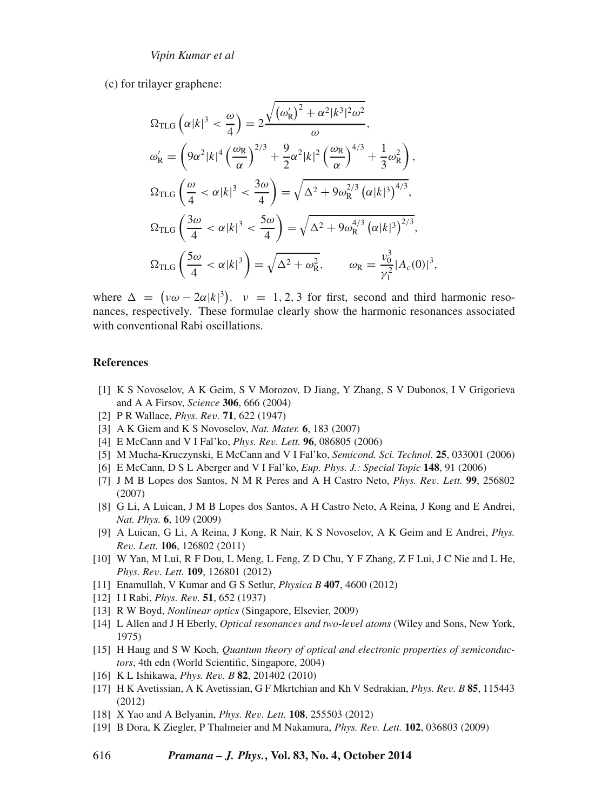(c) for trilayer graphene:

$$
\Omega_{\text{TLG}}\left(\alpha|k|^3 < \frac{\omega}{4}\right) = 2\frac{\sqrt{(\omega_{\text{R}}')^2 + \alpha^2|k^3|^2\omega^2}}{\omega},
$$
\n
$$
\omega_{\text{R}}' = \left(9\alpha^2|k|^4\left(\frac{\omega_{\text{R}}}{\alpha}\right)^{2/3} + \frac{9}{2}\alpha^2|k|^2\left(\frac{\omega_{\text{R}}}{\alpha}\right)^{4/3} + \frac{1}{3}\omega_{\text{R}}^2\right),
$$
\n
$$
\Omega_{\text{TLG}}\left(\frac{\omega}{4} < \alpha|k|^3 < \frac{3\omega}{4}\right) = \sqrt{\Delta^2 + 9\omega_{\text{R}}^{2/3}\left(\alpha|k|^3\right)^{4/3}},
$$
\n
$$
\Omega_{\text{TLG}}\left(\frac{3\omega}{4} < \alpha|k|^3 < \frac{5\omega}{4}\right) = \sqrt{\Delta^2 + 9\omega_{\text{R}}^{4/3}\left(\alpha|k|^3\right)^{2/3}},
$$
\n
$$
\Omega_{\text{TLG}}\left(\frac{5\omega}{4} < \alpha|k|^3\right) = \sqrt{\Delta^2 + \omega_{\text{R}}^2}, \qquad \omega_{\text{R}} = \frac{v_0^3}{\gamma_1^2}|A_c(0)|^3,
$$

where  $\Delta = (\nu \omega - 2\alpha |k|^3)$ .  $\nu = 1, 2, 3$  for first, second and third harmonic resonances, respectively. These formulae clearly show the harmonic resonances associated with conventional Rabi oscillations.

#### **References**

- <span id="page-19-0"></span>[1] K S Novoselov, A K Geim, S V Morozov, D Jiang, Y Zhang, S V Dubonos, I V Grigorieva and A A Firsov, *Science* **306**, 666 (2004)
- <span id="page-19-1"></span>[2] P R Wallace, *Phys. Rev.* **71**, 622 (1947)
- <span id="page-19-2"></span>[3] A K Giem and K S Novoselov, *Nat. Mater.* **6**, 183 (2007)
- <span id="page-19-3"></span>[4] E McCann and V I Fal'ko, *Phys. Rev. Lett.* **96**, 086805 (2006)
- [5] M Mucha-Kruczynski, E McCann and V I Fal'ko, *Semicond. Sci. Technol.* **25**, 033001 (2006)
- <span id="page-19-4"></span>[6] E McCann, D S L Aberger and V I Fal'ko, *Eup. Phys. J.: Special Topic* **148**, 91 (2006)
- <span id="page-19-5"></span>[7] J M B Lopes dos Santos, N M R Peres and A H Castro Neto, *Phys. Rev. Lett.* **99**, 256802 (2007)
- <span id="page-19-6"></span>[8] G Li, A Luican, J M B Lopes dos Santos, A H Castro Neto, A Reina, J Kong and E Andrei, *Nat. Phys.* **6**, 109 (2009)
- [9] A Luican, G Li, A Reina, J Kong, R Nair, K S Novoselov, A K Geim and E Andrei, *Phys. Rev. Lett.* **106**, 126802 (2011)
- <span id="page-19-7"></span>[10] W Yan, M Lui, R F Dou, L Meng, L Feng, Z D Chu, Y F Zhang, Z F Lui, J C Nie and L He, *Phys. Rev. Lett.* **109**, 126801 (2012)
- <span id="page-19-8"></span>[11] Enamullah, V Kumar and G S Setlur, *Physica B* **407**, 4600 (2012)
- <span id="page-19-9"></span>[12] I I Rabi, *Phys. Rev.* **51**, 652 (1937)
- <span id="page-19-15"></span>[13] R W Boyd, *Nonlinear optics* (Singapore, Elsevier, 2009)
- <span id="page-19-10"></span>[14] L Allen and J H Eberly, *Optical resonances and two-level atoms* (Wiley and Sons, New York, 1975)
- <span id="page-19-11"></span>[15] H Haug and S W Koch, *Quantum theory of optical and electronic properties of semiconductors*, 4th edn (World Scientific, Singapore, 2004)
- <span id="page-19-12"></span>[16] K L Ishikawa, *Phys. Rev. B* **82**, 201402 (2010)
- <span id="page-19-13"></span>[17] H K Avetissian, A K Avetissian, G F Mkrtchian and Kh V Sedrakian, *Phys. Rev. B* **85**, 115443 (2012)
- <span id="page-19-14"></span>[18] X Yao and A Belyanin, *Phys. Rev. Lett.* **108**, 255503 (2012)
- [19] B Dora, K Ziegler, P Thalmeier and M Nakamura, *Phys. Rev. Lett.* **102**, 036803 (2009)